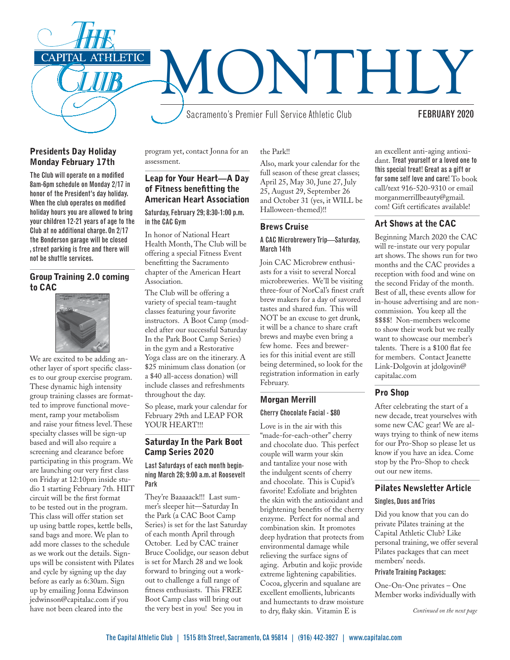

### Presidents Day Holiday Monday February 17th

The Club will operate on a modified 8am-6pm schedule on Monday 2/17 in honor of the President's day holiday. When the club operates on modified holiday hours you are allowed to bring your children 12-21 years of age to the Club at no additional charge. On 2/17 the Bonderson garage will be closed , street parking is free and there will not be shuttle services.

### Group Training 2.0 coming to CAC



We are excited to be adding another layer of sport specific classes to our group exercise program. These dynamic high intensity group training classes are formatted to improve functional movement, ramp your metabolism and raise your fitness level. These specialty classes will be sign-up based and will also require a screening and clearance before participating in this program. We are launching our very first class on Friday at 12:10pm inside studio 1 starting February 7th. HIIT circuit will be the first format to be tested out in the program. This class will offer station set up using battle ropes, kettle bells, sand bags and more. We plan to add more classes to the schedule as we work out the details. Signups will be consistent with Pilates and cycle by signing up the day before as early as 6:30am. Sign up by emailing Jonna Edwinson jedwinson@capitalac.com if you have not been cleared into the

program yet, contact Jonna for an assessment.

### Leap for Your Heart—A Day of Fitness benefitting the American Heart Association

Saturday, February 29; 8:30-1:00 p.m. in the CAC Gym

In honor of National Heart Health Month, The Club will be offering a special Fitness Event benefitting the Sacramento chapter of the American Heart Association.

The Club will be offering a variety of special team-taught classes featuring your favorite instructors. A Boot Camp (modeled after our successful Saturday In the Park Boot Camp Series) in the gym and a Restorative Yoga class are on the itinerary. A \$25 minimum class donation (or a \$40 all-access donation) will include classes and refreshments throughout the day.

So please, mark your calendar for February 29th and LEAP FOR YOUR HEART!!!

### Saturday In the Park Boot Camp Series 2020

Last Saturdays of each month beginning March 28; 9:00 a.m. at Roosevelt Park

They're Baaaaack!!! Last summer's sleeper hit—Saturday In the Park (a CAC Boot Camp Series) is set for the last Saturday of each month April through October. Led by CAC trainer Bruce Coolidge, our season debut is set for March 28 and we look forward to bringing out a workout to challenge a full range of fitness enthusiasts. This FREE Boot Camp class will bring out the very best in you! See you in

the Park!!

Also, mark your calendar for the full season of these great classes; April 25, May 30, June 27, July 25, August 29, September 26 and October 31 (yes, it WILL be Halloween-themed)!!

# Brews Cruise

#### A CAC Microbrewery Trip—Saturday, March 14th

Join CAC Microbrew enthusiasts for a visit to several Norcal microbreweries. We'll be visiting three-four of NorCal's finest craft brew makers for a day of savored tastes and shared fun. This will NOT be an excuse to get drunk, it will be a chance to share craft brews and maybe even bring a few home. Fees and breweries for this initial event are still being determined, so look for the registration information in early February.

### Morgan Merrill

### Cherry Chocolate Facial - \$80

Love is in the air with this "made-for-each-other" cherry and chocolate duo. This perfect couple will warm your skin and tantalize your nose with the indulgent scents of cherry and chocolate. This is Cupid's favorite! Exfoliate and brighten the skin with the antioxidant and brightening benefits of the cherry enzyme. Perfect for normal and combination skin. It promotes deep hydration that protects from environmental damage while relieving the surface signs of aging. Arbutin and kojic provide extreme lightening capabilities. Cocoa, glycerin and squalane are excellent emollients, lubricants and humectants to draw moisture to dry, flaky skin. Vitamin E is

an excellent anti-aging antioxidant. Treat yourself or a loved one to this special treat! Great as a gift or for some self love and care! To book call/text 916-520-9310 or email morganmerrillbeauty@gmail. com! Gift certificates available!

# Art Shows at the CAC

Beginning March 2020 the CAC will re-instate our very popular art shows. The shows run for two months and the CAC provides a reception with food and wine on the second Friday of the month. Best of all, these events allow for in-house advertising and are noncommission. You keep all the \$\$\$\$! Non-members welcome to show their work but we really want to showcase our member's talents. There is a \$100 flat fee for members. Contact Jeanette Link-Dolgovin at jdolgovin@ capitalac.com

# Pro Shop

After celebrating the start of a new decade, treat yourselves with some new CAC gear! We are always trying to think of new items for our Pro-Shop so please let us know if you have an idea. Come stop by the Pro-Shop to check out our new items.

# Pilates Newsletter Article

### Singles, Duos and Trios

Did you know that you can do private Pilates training at the Capital Athletic Club? Like personal training, we offer several Pilates packages that can meet members' needs.

### Private Training Packages:

One-On-One privates – One Member works individually with

*Continued on the next page*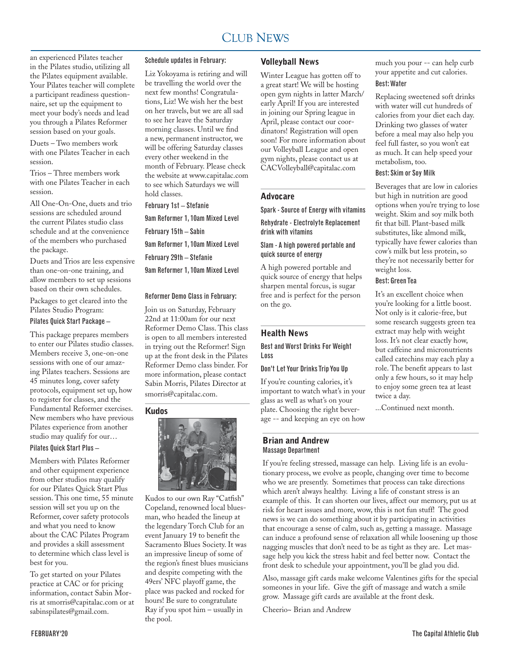#### CLUB NEWS 2000 FOR THE NEWS 2000 FOR THE NEWS 2000 FOR THE NEWS 2000 FOR THE NEWS 2000 FOR THE NEWS 2000 FOR THE NEWS 2000 FOR THE NEWS 2000 FOR THE NEWS 2000 FOR THE NEWS 2000 FOR THE NEWS 2000 FOR THE NEWS 2000 FOR THE N CLUB NEWS

an experienced Pilates teacher in the Pilates studio, utilizing all the Pilates equipment available. Your Pilates teacher will complete a participant readiness questionnaire, set up the equipment to meet your body's needs and lead you through a Pilates Reformer session based on your goals.

Duets – Two members work with one Pilates Teacher in each session.

Trios – Three members work with one Pilates Teacher in each session.

All One-On-One, duets and trio sessions are scheduled around the current Pilates studio class schedule and at the convenience of the members who purchased the package.

Duets and Trios are less expensive than one-on-one training, and allow members to set up sessions based on their own schedules.

Packages to get cleared into the Pilates Studio Program:

#### Pilates Quick Start Package –

This package prepares members to enter our Pilates studio classes. Members receive 3, one-on-one sessions with one of our amazing Pilates teachers. Sessions are 45 minutes long, cover safety protocols, equipment set up, how to register for classes, and the Fundamental Reformer exercises. New members who have previous Pilates experience from another studio may qualify for our…

#### Pilates Quick Start Plus –

Members with Pilates Reformer and other equipment experience from other studios may qualify for our Pilates Quick Start Plus session. This one time, 55 minute session will set you up on the Reformer, cover safety protocols and what you need to know about the CAC Pilates Program and provides a skill assessment to determine which class level is best for you.

To get started on your Pilates practice at CAC or for pricing information, contact Sabin Morris at smorris@capitalac.com or at sabinspilates@gmail.com.

### Schedule updates in February:

Liz Yokoyama is retiring and will be travelling the world over the next few months! Congratulations, Liz! We wish her the best on her travels, but we are all sad to see her leave the Saturday morning classes. Until we find a new, permanent instructor, we will be offering Saturday classes every other weekend in the month of February. Please check the website at www.capitalac.com to see which Saturdays we will hold classes.

February 1st – Stefanie

9am Reformer 1, 10am Mixed Level February 15th – Sabin 9am Reformer 1, 10am Mixed Level February 29th – Stefanie 9am Reformer 1, 10am Mixed Level

#### Reformer Demo Class in February:

Join us on Saturday, February 22nd at 11:00am for our next Reformer Demo Class. This class is open to all members interested in trying out the Reformer! Sign up at the front desk in the Pilates Reformer Demo class binder. For more information, please contact Sabin Morris, Pilates Director at smorris@capitalac.com.

#### Kudos



Kudos to our own Ray "Catfish" Copeland, renowned local bluesman, who headed the lineup at the legendary Torch Club for an event January 19 to benefit the Sacramento Blues Society. It was an impressive lineup of some of the region's finest blues musicians and despite competing with the 49ers' NFC playoff game, the place was packed and rocked for hours! Be sure to congratulate Ray if you spot him – usually in the pool.

#### Volleyball News

Winter League has gotten off to a great start! We will be hosting open gym nights in latter March/ early April! If you are interested in joining our Spring league in April, please contact our coordinators! Registration will open soon! For more information about our Volleyball League and open gym nights, please contact us at CACVolleyball@capitalac.com

#### Advocare

#### Spark - Source of Energy with vitamins

Rehydrate - Electrolyte Replacement drink with vitamins

### Slam - A high powered portable and quick source of energy

A high powered portable and quick source of energy that helps sharpen mental forcus, is sugar free and is perfect for the person on the go.

### Health News

Best and Worst Drinks For Weight Loss

#### Don't Let Your Drinks Trip You Up

If you're counting calories, it's important to watch what's in your glass as well as what's on your plate. Choosing the right beverage -- and keeping an eye on how

#### Brian and Andrew Massage Department

If you're feeling stressed, massage can help. Living life is an evolutionary process, we evolve as people, changing over time to become who we are presently. Sometimes that process can take directions which aren't always healthy. Living a life of constant stress is an example of this. It can shorten our lives, affect our memory, put us at risk for heart issues and more, wow, this is not fun stuff! The good news is we can do something about it by participating in activities that encourage a sense of calm, such as, getting a massage. Massage can induce a profound sense of relaxation all while loosening up those nagging muscles that don't need to be as tight as they are. Let massage help you kick the stress habit and feel better now. Contact the front desk to schedule your appointment, you'll be glad you did.

Also, massage gift cards make welcome Valentines gifts for the special someones in your life. Give the gift of massage and watch a smile grow. Massage gift cards are available at the front desk.

Cheerio~ Brian and Andrew

much you pour -- can help curb your appetite and cut calories. Best: Water

Replacing sweetened soft drinks with water will cut hundreds of calories from your diet each day. Drinking two glasses of water before a meal may also help you feel full faster, so you won't eat as much. It can help speed your metabolism, too.

#### Best: Skim or Soy Milk

Beverages that are low in calories but high in nutrition are good options when you're trying to lose weight. Skim and soy milk both fit that bill. Plant-based milk substitutes, like almond milk, typically have fewer calories than cow's milk but less protein, so they're not necessarily better for weight loss.

#### Best: Green Tea

It's an excellent choice when you're looking for a little boost. Not only is it calorie-free, but some research suggests green tea extract may help with weight loss. It's not clear exactly how, but caffeine and micronutrients called catechins may each play a role. The benefit appears to last only a few hours, so it may help to enjoy some green tea at least twice a day.

...Continued next month.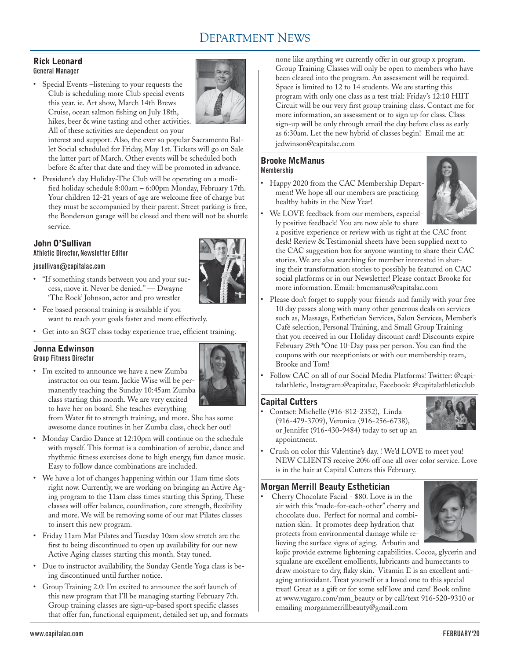# DEPARTMENT NEWS

### Rick Leonard General Manager

• Special Events –listening to your requests the Club is scheduling more Club special events this year. ie. Art show, March 14th Brews Cruise, ocean salmon fishing on July 18th, hikes, beer & wine tasting and other activities. All of these activities are dependent on your



interest and support. Also, the ever so popular Sacramento Ballet Social scheduled for Friday, May 1st. Tickets will go on Sale the latter part of March. Other events will be scheduled both before & after that date and they will be promoted in advance.

• President's day Holiday-The Club will be operating on a modified holiday schedule 8:00am – 6:00pm Monday, February 17th. Your children 12-21 years of age are welcome free of charge but they must be accompanied by their parent. Street parking is free, the Bonderson garage will be closed and there will not be shuttle service.

# John O'Sullivan

Athletic Director, Newsletter Editor

#### josullivan@capitalac.com

- • "If something stands between you and your success, move it. Never be denied." — Dwayne 'The Rock' Johnson, actor and pro wrestler
- • Fee based personal training is available if you want to reach your goals faster and more effectively.
- • Get into an SGT class today experience true, efficient training.

# Jonna Edwinson

- Group Fitness Director
- • I'm excited to announce we have a new Zumba instructor on our team. Jackie Wise will be permanently teaching the Sunday 10:45am Zumba class starting this month. We are very excited to have her on board. She teaches everything



from Water fit to strength training, and more. She has some awesome dance routines in her Zumba class, check her out!

- • Monday Cardio Dance at 12:10pm will continue on the schedule with myself. This format is a combination of aerobic, dance and rhythmic fitness exercises done to high energy, fun dance music. Easy to follow dance combinations are included.
- • We have a lot of changes happening within our 11am time slots right now. Currently, we are working on bringing an Active Aging program to the 11am class times starting this Spring. These classes will offer balance, coordination, core strength, flexibility and more. We will be removing some of our mat Pilates classes to insert this new program.
- • Friday 11am Mat Pilates and Tuesday 10am slow stretch are the first to being discontinued to open up availability for our new Active Aging classes starting this month. Stay tuned.
- Due to instructor availability, the Sunday Gentle Yoga class is being discontinued until further notice.
- • Group Training 2.0: I'm excited to announce the soft launch of this new program that I'll be managing starting February 7th. Group training classes are sign-up-based sport specific classes that offer fun, functional equipment, detailed set up, and formats

none like anything we currently offer in our group x program. Group Training Classes will only be open to members who have been cleared into the program. An assessment will be required. Space is limited to 12 to 14 students. We are starting this program with only one class as a test trial: Friday's 12:10 HIIT Circuit will be our very first group training class. Contact me for more information, an assessment or to sign up for class. Class sign-up will be only through email the day before class as early as 6:30am. Let the new hybrid of classes begin! Email me at: jedwinson@capitalac.com

#### Brooke McManus Membership

Happy 2020 from the CAC Membership Department! We hope all our members are practicing healthy habits in the New Year!



• We LOVE feedback from our members, especially positive feedback! You are now able to share

a positive experience or review with us right at the CAC front desk! Review & Testimonial sheets have been supplied next to the CAC suggestion box for anyone wanting to share their CAC stories. We are also searching for member interested in sharing their transformation stories to possibly be featured on CAC social platforms or in our Newsletter! Please contact Brooke for more information. Email: bmcmanus@capitalac.com

- Please don't forget to supply your friends and family with your free 10 day passes along with many other generous deals on services such as, Massage, Esthetician Services, Salon Services, Member's Café selection, Personal Training, and Small Group Training that you received in our Holiday discount card! Discounts expire February 29th \*One 10-Day pass per person. You can find the coupons with our receptionists or with our membership team, Brooke and Tom!
- Follow CAC on all of our Social Media Platforms! Twitter: @capitalathletic, Instagram:@capitalac, Facebook: @capitalathleticclub

### Capital Cutters

Contact: Michelle (916-812-2352), Linda (916-479-3709), Veronica (916-256-6738), or Jennifer (916-430-9484) today to set up an appointment.



• Crush on color this Valentine's day. ! We'd LOVE to meet you! NEW CLIENTS receive 20% off one all over color service. Love is in the hair at Capital Cutters this February.

### Morgan Merrill Beauty Esthetician

Cherry Chocolate Facial - \$80. Love is in the air with this "made-for-each-other" cherry and chocolate duo. Perfect for normal and combination skin. It promotes deep hydration that protects from environmental damage while relieving the surface signs of aging. Arbutin and



kojic provide extreme lightening capabilities. Cocoa, glycerin and squalane are excellent emollients, lubricants and humectants to draw moisture to dry, flaky skin. Vitamin E is an excellent antiaging antioxidant. Treat yourself or a loved one to this special treat! Great as a gift or for some self love and care! Book online at www.vagaro.com/mm\_beauty or by call/text 916-520-9310 or emailing morganmerrillbeauty@gmail.com